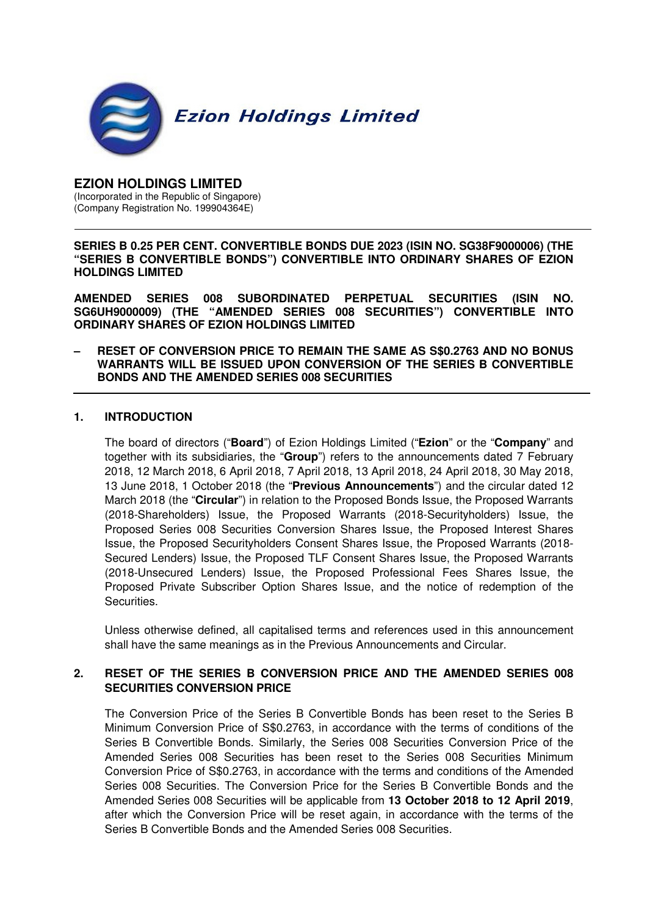

#### **EZION HOLDINGS LIMITED**  (Incorporated in the Republic of Singapore) (Company Registration No. 199904364E)

**SERIES B 0.25 PER CENT. CONVERTIBLE BONDS DUE 2023 (ISIN NO. SG38F9000006) (THE "SERIES B CONVERTIBLE BONDS") CONVERTIBLE INTO ORDINARY SHARES OF EZION HOLDINGS LIMITED** 

**AMENDED SERIES 008 SUBORDINATED PERPETUAL SECURITIES (ISIN NO. SG6UH9000009) (THE "AMENDED SERIES 008 SECURITIES") CONVERTIBLE INTO ORDINARY SHARES OF EZION HOLDINGS LIMITED** 

**– RESET OF CONVERSION PRICE TO REMAIN THE SAME AS S\$0.2763 AND NO BONUS WARRANTS WILL BE ISSUED UPON CONVERSION OF THE SERIES B CONVERTIBLE BONDS AND THE AMENDED SERIES 008 SECURITIES**

#### **1. INTRODUCTION**

The board of directors ("**Board**") of Ezion Holdings Limited ("**Ezion**" or the "**Company**" and together with its subsidiaries, the "**Group**") refers to the announcements dated 7 February 2018, 12 March 2018, 6 April 2018, 7 April 2018, 13 April 2018, 24 April 2018, 30 May 2018, 13 June 2018, 1 October 2018 (the "**Previous Announcements**") and the circular dated 12 March 2018 (the "**Circular**") in relation to the Proposed Bonds Issue, the Proposed Warrants (2018-Shareholders) Issue, the Proposed Warrants (2018-Securityholders) Issue, the Proposed Series 008 Securities Conversion Shares Issue, the Proposed Interest Shares Issue, the Proposed Securityholders Consent Shares Issue, the Proposed Warrants (2018- Secured Lenders) Issue, the Proposed TLF Consent Shares Issue, the Proposed Warrants (2018-Unsecured Lenders) Issue, the Proposed Professional Fees Shares Issue, the Proposed Private Subscriber Option Shares Issue, and the notice of redemption of the Securities.

Unless otherwise defined, all capitalised terms and references used in this announcement shall have the same meanings as in the Previous Announcements and Circular.

### **2. RESET OF THE SERIES B CONVERSION PRICE AND THE AMENDED SERIES 008 SECURITIES CONVERSION PRICE**

The Conversion Price of the Series B Convertible Bonds has been reset to the Series B Minimum Conversion Price of S\$0.2763, in accordance with the terms of conditions of the Series B Convertible Bonds. Similarly, the Series 008 Securities Conversion Price of the Amended Series 008 Securities has been reset to the Series 008 Securities Minimum Conversion Price of S\$0.2763, in accordance with the terms and conditions of the Amended Series 008 Securities. The Conversion Price for the Series B Convertible Bonds and the Amended Series 008 Securities will be applicable from **13 October 2018 to 12 April 2019**, after which the Conversion Price will be reset again, in accordance with the terms of the Series B Convertible Bonds and the Amended Series 008 Securities.